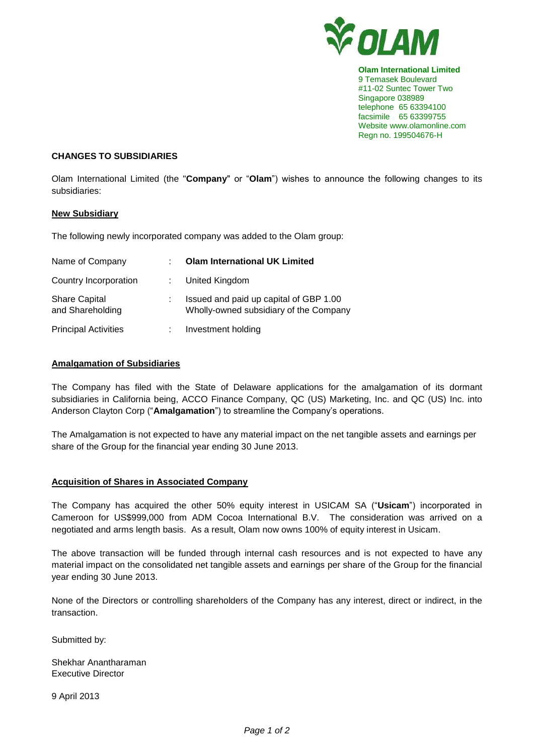

**Olam International Limited** 9 Temasek Boulevard #11-02 Suntec Tower Two Singapore 038989 telephone 65 63394100 facsimile 65 63399755 Website www.olamonline.com Regn no. 199504676-H

# **CHANGES TO SUBSIDIARIES**

Olam International Limited (the "**Company**" or "**Olam**") wishes to announce the following changes to its subsidiaries:

### **New Subsidiary**

The following newly incorporated company was added to the Olam group:

| Name of Company                          | <b>Olam International UK Limited</b>                                             |
|------------------------------------------|----------------------------------------------------------------------------------|
| Country Incorporation                    | : United Kingdom                                                                 |
| <b>Share Capital</b><br>and Shareholding | Issued and paid up capital of GBP 1.00<br>Wholly-owned subsidiary of the Company |
| <b>Principal Activities</b>              | Investment holding                                                               |

# **Amalgamation of Subsidiaries**

The Company has filed with the State of Delaware applications for the amalgamation of its dormant subsidiaries in California being, ACCO Finance Company, QC (US) Marketing, Inc. and QC (US) Inc. into Anderson Clayton Corp ("**Amalgamation**") to streamline the Company's operations.

The Amalgamation is not expected to have any material impact on the net tangible assets and earnings per share of the Group for the financial year ending 30 June 2013.

### **Acquisition of Shares in Associated Company**

The Company has acquired the other 50% equity interest in USICAM SA ("**Usicam**") incorporated in Cameroon for US\$999,000 from ADM Cocoa International B.V. The consideration was arrived on a negotiated and arms length basis. As a result, Olam now owns 100% of equity interest in Usicam.

The above transaction will be funded through internal cash resources and is not expected to have any material impact on the consolidated net tangible assets and earnings per share of the Group for the financial year ending 30 June 2013.

None of the Directors or controlling shareholders of the Company has any interest, direct or indirect, in the transaction.

Submitted by:

Shekhar Anantharaman Executive Director

9 April 2013